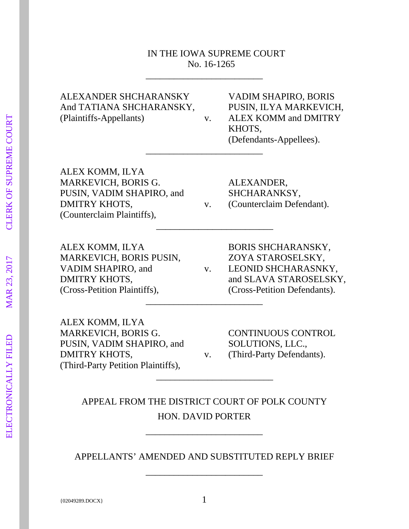#### IN THE IOWA SUPREME COURT No. 16-1265

\_\_\_\_\_\_\_\_\_\_\_\_\_\_\_\_\_\_\_\_\_\_\_\_\_

\_\_\_\_\_\_\_\_\_\_\_\_\_\_\_\_\_\_\_\_\_\_\_\_\_

\_\_\_\_\_\_\_\_\_\_\_\_\_\_\_\_\_\_\_\_\_\_\_\_\_

And TATIANA SHCHARANSKY, PUSIN, ILYA MARKEVICH, (Plaintiffs-Appellants) v. ALEX KOMM and DMITRY

ALEXANDER SHCHARANSKY VADIM SHAPIRO, BORIS KHOTS, (Defendants-Appellees).

ALEX KOMM, ILYA MARKEVICH, BORIS G. ALEXANDER, PUSIN, VADIM SHAPIRO, and SHCHARANKSY, DMITRY KHOTS,  $V.$  (Counterclaim Defendant). (Counterclaim Plaintiffs),

ALEX KOMM, ILYA BORIS SHCHARANSKY, MARKEVICH, BORIS PUSIN, ZOYA STAROSELSKY, (Cross-Petition Plaintiffs), (Cross-Petition Defendants).

VADIM SHAPIRO, and v. LEONID SHCHARASNKY, DMITRY KHOTS, and SLAVA STAROSELSKY, \_\_\_\_\_\_\_\_\_\_\_\_\_\_\_\_\_\_\_\_\_\_\_\_\_

ALEX KOMM, ILYA MARKEVICH, BORIS G. CONTINUOUS CONTROL PUSIN, VADIM SHAPIRO, and SOLUTIONS, LLC., DMITRY KHOTS,  $V.$  (Third-Party Defendants). (Third-Party Petition Plaintiffs),

APPEAL FROM THE DISTRICT COURT OF POLK COUNTY HON. DAVID PORTER

\_\_\_\_\_\_\_\_\_\_\_\_\_\_\_\_\_\_\_\_\_\_\_\_\_

\_\_\_\_\_\_\_\_\_\_\_\_\_\_\_\_\_\_\_\_\_\_\_\_\_

APPELLANTS' AMENDED AND SUBSTITUTED REPLY BRIEF

\_\_\_\_\_\_\_\_\_\_\_\_\_\_\_\_\_\_\_\_\_\_\_\_\_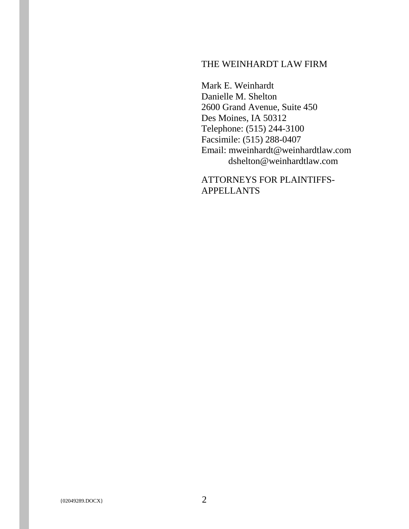## THE WEINHARDT LAW FIRM

Mark E. Weinhardt Danielle M. Shelton 2600 Grand Avenue, Suite 450 Des Moines, IA 50312 Telephone: (515) 244-3100 Facsimile: (515) 288-0407 Email: [mweinhardt@weinhardtlaw.com](mailto:mweinhardt@weinhardtlogan.com) [dshelton@weinhardtlaw.com](mailto:wortman@weinhardtlogan.com)

ATTORNEYS FOR PLAINTIFFS-APPELLANTS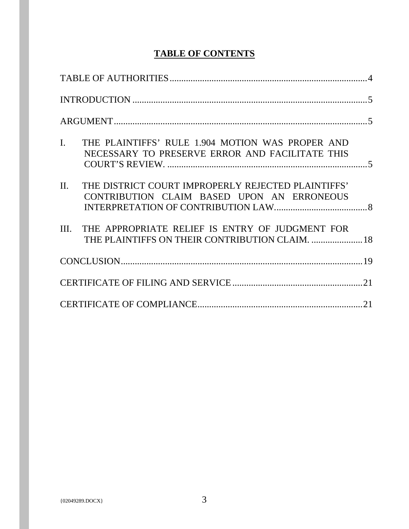# **TABLE OF CONTENTS**

| $\mathbf{I}$ .<br>THE PLAINTIFFS' RULE 1.904 MOTION WAS PROPER AND<br>NECESSARY TO PRESERVE ERROR AND FACILITATE THIS |  |
|-----------------------------------------------------------------------------------------------------------------------|--|
| II.<br>THE DISTRICT COURT IMPROPERLY REJECTED PLAINTIFFS'<br>CONTRIBUTION CLAIM BASED UPON AN ERRONEOUS               |  |
| III. THE APPROPRIATE RELIEF IS ENTRY OF JUDGMENT FOR<br>THE PLAINTIFFS ON THEIR CONTRIBUTION CLAIM.  18               |  |
|                                                                                                                       |  |
|                                                                                                                       |  |
|                                                                                                                       |  |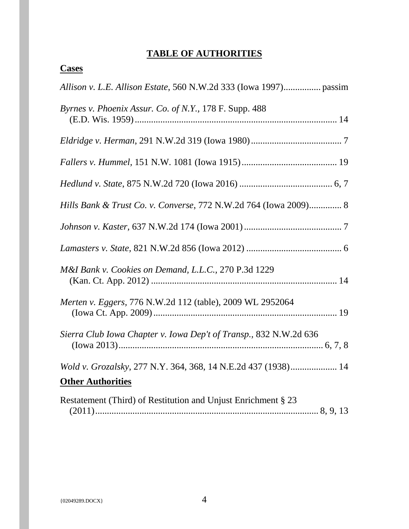## **TABLE OF AUTHORITIES**

## <span id="page-3-0"></span>**Cases**

| Byrnes v. Phoenix Assur. Co. of N.Y., 178 F. Supp. 488                                    |
|-------------------------------------------------------------------------------------------|
|                                                                                           |
|                                                                                           |
|                                                                                           |
| Hills Bank & Trust Co. v. Converse, 772 N.W.2d 764 (Iowa 2009) 8                          |
|                                                                                           |
|                                                                                           |
| M&I Bank v. Cookies on Demand, L.L.C., 270 P.3d 1229                                      |
| Merten v. Eggers, 776 N.W.2d 112 (table), 2009 WL 2952064                                 |
| Sierra Club Iowa Chapter v. Iowa Dep't of Transp., 832 N.W.2d 636                         |
| Wold v. Grozalsky, 277 N.Y. 364, 368, 14 N.E.2d 437 (1938) 14<br><b>Other Authorities</b> |
| Restatement (Third) of Restitution and Unjust Enrichment § 23                             |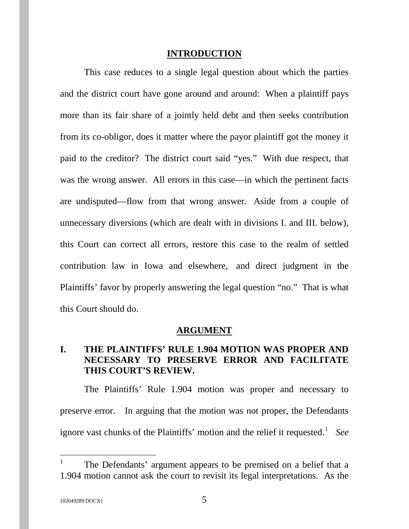#### **INTRODUCTION**

<span id="page-4-0"></span>This case reduces to a single legal question about which the parties and the district court have gone around and around: When a plaintiff pays more than its fair share of a jointly held debt and then seeks contribution from its co-obligor, does it matter where the payor plaintiff got the money it paid to the creditor? The district court said "yes." With due respect, that was the wrong answer. All errors in this case—in which the pertinent facts are undisputed—flow from that wrong answer. Aside from a couple of unnecessary diversions (which are dealt with in divisions I. and III. below), this Court can correct all errors, restore this case to the realm of settled contribution law in Iowa and elsewhere, and direct judgment in the Plaintiffs' favor by properly answering the legal question "no." That is what this Court should do.

#### **ARGUMENT**

#### <span id="page-4-2"></span><span id="page-4-1"></span>**I. THE PLAINTIFFS' RULE 1.904 MOTION WAS PROPER AND NECESSARY TO PRESERVE ERROR AND FACILITATE THIS COURT'S REVIEW.**

The Plaintiffs' Rule 1.904 motion was proper and necessary to preserve error. In arguing that the motion was not proper, the Defendants ignore vast chunks of the Plaintiffs' motion and the relief it requested.<sup>[1](#page-4-3)</sup> See

<span id="page-4-3"></span><sup>&</sup>lt;sup>1</sup> The Defendants' argument appears to be premised on a belief that a 1.904 motion cannot ask the court to revisit its legal interpretations. As the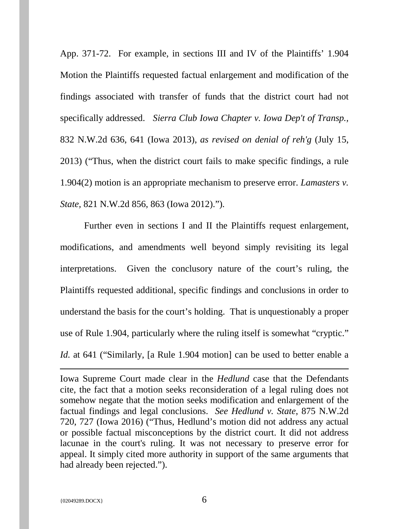App. 371-72. For example, in sections III and IV of the Plaintiffs' 1.904 Motion the Plaintiffs requested factual enlargement and modification of the findings associated with transfer of funds that the district court had not specifically addressed. *Sierra Club Iowa Chapter v. Iowa Dep't of Transp.,* 832 N.W.2d 636, 641 (Iowa 2013), *as revised on denial of reh'g* (July 15, 2013) ("Thus, when the district court fails to make specific findings, a rule 1.904(2) motion is an appropriate mechanism to preserve error. *Lamasters v. State,* 821 N.W.2d 856, 863 (Iowa 2012).").

Further even in sections I and II the Plaintiffs request enlargement, modifications, and amendments well beyond simply revisiting its legal interpretations. Given the conclusory nature of the court's ruling, the Plaintiffs requested additional, specific findings and conclusions in order to understand the basis for the court's holding. That is unquestionably a proper use of Rule 1.904, particularly where the ruling itself is somewhat "cryptic." *Id.* at 641 ("Similarly, [a Rule 1.904 motion] can be used to better enable a

Iowa Supreme Court made clear in the *Hedlund* case that the Defendants cite, the fact that a motion seeks reconsideration of a legal ruling does not somehow negate that the motion seeks modification and enlargement of the factual findings and legal conclusions. *See Hedlund v. State*, 875 N.W.2d 720, 727 (Iowa 2016) ("Thus, Hedlund's motion did not address any actual or possible factual misconceptions by the district court. It did not address lacunae in the court's ruling. It was not necessary to preserve error for appeal. It simply cited more authority in support of the same arguments that had already been rejected.").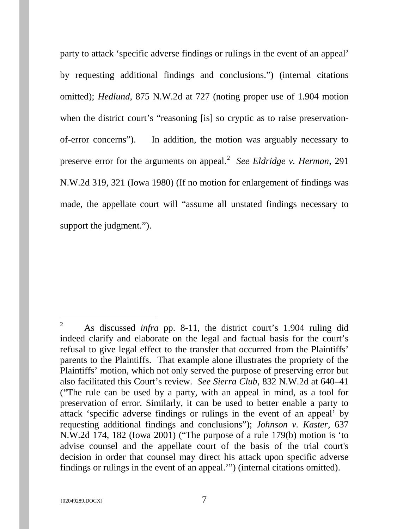party to attack 'specific adverse findings or rulings in the event of an appeal' by requesting additional findings and conclusions.") (internal citations omitted); *Hedlund*, 875 N.W.2d at 727 (noting proper use of 1.904 motion when the district court's "reasoning [is] so cryptic as to raise preservationof-error concerns"). In addition, the motion was arguably necessary to preserve error for the arguments on appeal.<sup>[2](#page-6-0)</sup> See Eldridge v. Herman, 291 N.W.2d 319, 321 (Iowa 1980) (If no motion for enlargement of findings was made, the appellate court will "assume all unstated findings necessary to support the judgment.").

<span id="page-6-0"></span><sup>&</sup>lt;sup>2</sup> As discussed *infra* pp. 8-11, the district court's 1.904 ruling did indeed clarify and elaborate on the legal and factual basis for the court's refusal to give legal effect to the transfer that occurred from the Plaintiffs' parents to the Plaintiffs. That example alone illustrates the propriety of the Plaintiffs' motion, which not only served the purpose of preserving error but also facilitated this Court's review. *See Sierra Club,* 832 N.W.2d at 640–41 ("The rule can be used by a party, with an appeal in mind, as a tool for preservation of error. Similarly, it can be used to better enable a party to attack 'specific adverse findings or rulings in the event of an appeal' by requesting additional findings and conclusions"); *Johnson v. Kaster,* 637 N.W.2d 174, 182 (Iowa 2001) ("The purpose of a rule 179(b) motion is 'to advise counsel and the appellate court of the basis of the trial court's decision in order that counsel may direct his attack upon specific adverse findings or rulings in the event of an appeal.'") (internal citations omitted).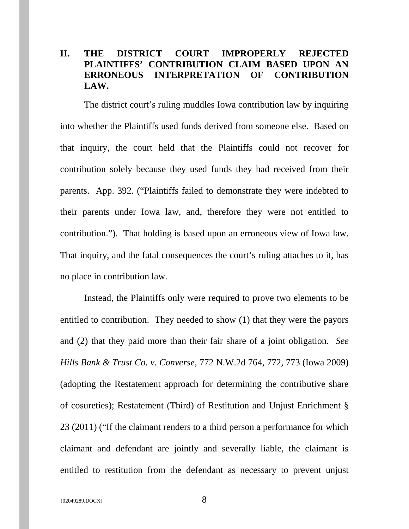### <span id="page-7-0"></span>**II. THE DISTRICT COURT IMPROPERLY REJECTED PLAINTIFFS' CONTRIBUTION CLAIM BASED UPON AN ERRONEOUS INTERPRETATION OF CONTRIBUTION LAW.**

The district court's ruling muddles Iowa contribution law by inquiring into whether the Plaintiffs used funds derived from someone else. Based on that inquiry, the court held that the Plaintiffs could not recover for contribution solely because they used funds they had received from their parents. App. 392. ("Plaintiffs failed to demonstrate they were indebted to their parents under Iowa law, and, therefore they were not entitled to contribution."). That holding is based upon an erroneous view of Iowa law. That inquiry, and the fatal consequences the court's ruling attaches to it, has no place in contribution law.

Instead, the Plaintiffs only were required to prove two elements to be entitled to contribution. They needed to show (1) that they were the payors and (2) that they paid more than their fair share of a joint obligation. *See Hills Bank & Trust Co. v. Converse*, 772 N.W.2d 764, 772, 773 (Iowa 2009) (adopting the Restatement approach for determining the contributive share of cosureties); Restatement (Third) of Restitution and Unjust Enrichment § 23 (2011) ("If the claimant renders to a third person a performance for which claimant and defendant are jointly and severally liable, the claimant is entitled to restitution from the defendant as necessary to prevent unjust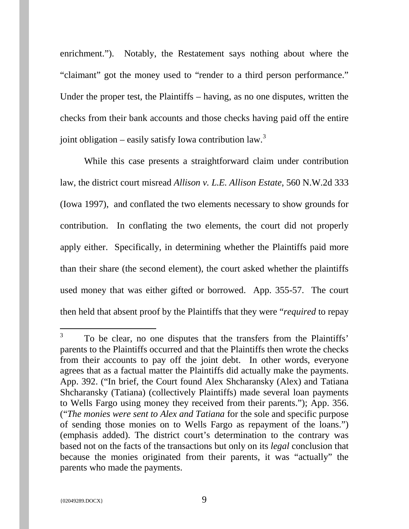enrichment."). Notably, the Restatement says nothing about where the "claimant" got the money used to "render to a third person performance." Under the proper test, the Plaintiffs – having, as no one disputes, written the checks from their bank accounts and those checks having paid off the entire joint obligation – easily satisfy Iowa contribution law. $3$ 

While this case presents a straightforward claim under contribution law, the district court misread *Allison v. L.E. Allison Estate*, 560 N.W.2d 333 (Iowa 1997), and conflated the two elements necessary to show grounds for contribution. In conflating the two elements, the court did not properly apply either. Specifically, in determining whether the Plaintiffs paid more than their share (the second element), the court asked whether the plaintiffs used money that was either gifted or borrowed. App. 355-57. The court then held that absent proof by the Plaintiffs that they were "*required* to repay

<span id="page-8-0"></span><sup>&</sup>lt;sup>3</sup> To be clear, no one disputes that the transfers from the Plaintiffs' parents to the Plaintiffs occurred and that the Plaintiffs then wrote the checks from their accounts to pay off the joint debt. In other words, everyone agrees that as a factual matter the Plaintiffs did actually make the payments. App. 392. ("In brief, the Court found Alex Shcharansky (Alex) and Tatiana Shcharansky (Tatiana) (collectively Plaintiffs) made several loan payments to Wells Fargo using money they received from their parents."); App. 356. ("*The monies were sent to Alex and Tatiana* for the sole and specific purpose of sending those monies on to Wells Fargo as repayment of the loans.") (emphasis added). The district court's determination to the contrary was based not on the facts of the transactions but only on its *legal* conclusion that because the monies originated from their parents, it was "actually" the parents who made the payments.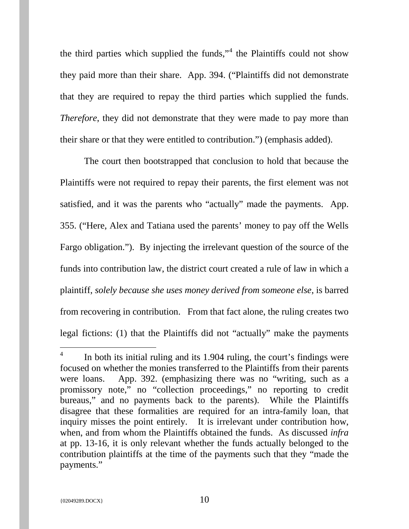the third parties which supplied the funds," $4$  the Plaintiffs could not show they paid more than their share. App. 394. ("Plaintiffs did not demonstrate that they are required to repay the third parties which supplied the funds. *Therefore*, they did not demonstrate that they were made to pay more than their share or that they were entitled to contribution.") (emphasis added).

The court then bootstrapped that conclusion to hold that because the Plaintiffs were not required to repay their parents, the first element was not satisfied, and it was the parents who "actually" made the payments. App. 355. ("Here, Alex and Tatiana used the parents' money to pay off the Wells Fargo obligation."). By injecting the irrelevant question of the source of the funds into contribution law, the district court created a rule of law in which a plaintiff, *solely because she uses money derived from someone else*, is barred from recovering in contribution. From that fact alone, the ruling creates two legal fictions: (1) that the Plaintiffs did not "actually" make the payments

<span id="page-9-0"></span> $\frac{4}{1}$  In both its initial ruling and its 1.904 ruling, the court's findings were focused on whether the monies transferred to the Plaintiffs from their parents were loans. App. 392. (emphasizing there was no "writing, such as a promissory note," no "collection proceedings," no reporting to credit bureaus," and no payments back to the parents). While the Plaintiffs disagree that these formalities are required for an intra-family loan, that inquiry misses the point entirely. It is irrelevant under contribution how, when, and from whom the Plaintiffs obtained the funds. As discussed *infra* at pp. 13-16, it is only relevant whether the funds actually belonged to the contribution plaintiffs at the time of the payments such that they "made the payments."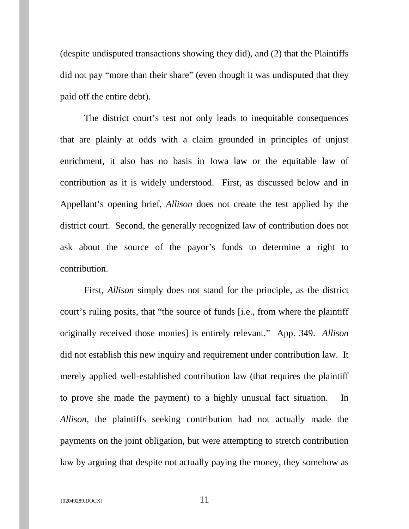(despite undisputed transactions showing they did), and (2) that the Plaintiffs did not pay "more than their share" (even though it was undisputed that they paid off the entire debt).

The district court's test not only leads to inequitable consequences that are plainly at odds with a claim grounded in principles of unjust enrichment, it also has no basis in Iowa law or the equitable law of contribution as it is widely understood. First, as discussed below and in Appellant's opening brief, *Allison* does not create the test applied by the district court. Second, the generally recognized law of contribution does not ask about the source of the payor's funds to determine a right to contribution.

First, *Allison* simply does not stand for the principle, as the district court's ruling posits, that "the source of funds [i.e., from where the plaintiff originally received those monies] is entirely relevant." App. 349. *Allison* did not establish this new inquiry and requirement under contribution law. It merely applied well-established contribution law (that requires the plaintiff to prove she made the payment) to a highly unusual fact situation. In *Allison*, the plaintiffs seeking contribution had not actually made the payments on the joint obligation, but were attempting to stretch contribution law by arguing that despite not actually paying the money, they somehow as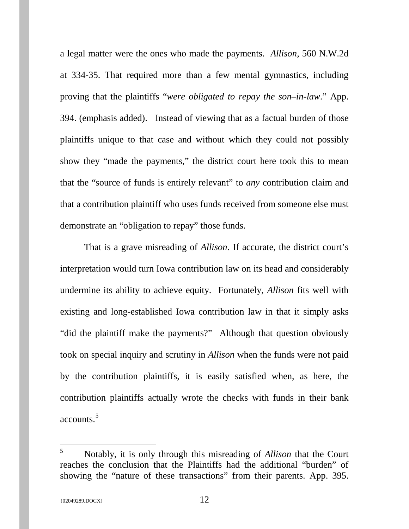a legal matter were the ones who made the payments. *Allison*, 560 N.W.2d at 334-35. That required more than a few mental gymnastics, including proving that the plaintiffs "*were obligated to repay the son–in-law*." App. 394. (emphasis added). Instead of viewing that as a factual burden of those plaintiffs unique to that case and without which they could not possibly show they "made the payments," the district court here took this to mean that the "source of funds is entirely relevant" to *any* contribution claim and that a contribution plaintiff who uses funds received from someone else must demonstrate an "obligation to repay" those funds.

That is a grave misreading of *Allison*. If accurate, the district court's interpretation would turn Iowa contribution law on its head and considerably undermine its ability to achieve equity. Fortunately, *Allison* fits well with existing and long-established Iowa contribution law in that it simply asks "did the plaintiff make the payments?" Although that question obviously took on special inquiry and scrutiny in *Allison* when the funds were not paid by the contribution plaintiffs, it is easily satisfied when, as here, the contribution plaintiffs actually wrote the checks with funds in their bank accounts. [5](#page-12-0)

 <sup>5</sup> Notably, it is only through this misreading of *Allison* that the Court reaches the conclusion that the Plaintiffs had the additional "burden" of showing the "nature of these transactions" from their parents. App. 395.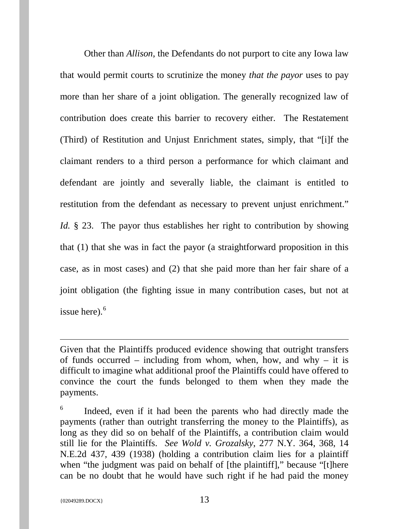Other than *Allison*, the Defendants do not purport to cite any Iowa law that would permit courts to scrutinize the money *that the payor* uses to pay more than her share of a joint obligation. The generally recognized law of contribution does create this barrier to recovery either. The Restatement (Third) of Restitution and Unjust Enrichment states, simply, that "[i]f the claimant renders to a third person a performance for which claimant and defendant are jointly and severally liable, the claimant is entitled to restitution from the defendant as necessary to prevent unjust enrichment." *Id.* § 23. The payor thus establishes her right to contribution by showing that (1) that she was in fact the payor (a straightforward proposition in this case, as in most cases) and (2) that she paid more than her fair share of a joint obligation (the fighting issue in many contribution cases, but not at issue here). $6$ 

Given that the Plaintiffs produced evidence showing that outright transfers of funds occurred – including from whom, when, how, and why – it is difficult to imagine what additional proof the Plaintiffs could have offered to convince the court the funds belonged to them when they made the payments.

<span id="page-12-0"></span> $6$  Indeed, even if it had been the parents who had directly made the payments (rather than outright transferring the money to the Plaintiffs), as long as they did so on behalf of the Plaintiffs, a contribution claim would still lie for the Plaintiffs. *See Wold v. Grozalsky*, 277 N.Y. 364, 368, 14 N.E.2d 437, 439 (1938) (holding a contribution claim lies for a plaintiff when "the judgment was paid on behalf of [the plaintiff]," because "[t]here can be no doubt that he would have such right if he had paid the money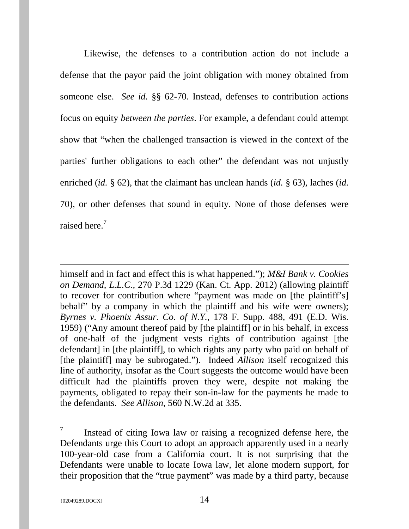Likewise, the defenses to a contribution action do not include a defense that the payor paid the joint obligation with money obtained from someone else. *See id.* §§ 62-70. Instead, defenses to contribution actions focus on equity *between the parties*. For example, a defendant could attempt show that "when the challenged transaction is viewed in the context of the parties' further obligations to each other" the defendant was not unjustly enriched (*id.* § 62), that the claimant has unclean hands (*id.* § 63), laches (*id.* 70), or other defenses that sound in equity. None of those defenses were raised here.<sup>[7](#page-15-0)</sup>

himself and in fact and effect this is what happened."); *M&I Bank v. Cookies on Demand, L.L.C.,* 270 P.3d 1229 (Kan. Ct. App. 2012) (allowing plaintiff to recover for contribution where "payment was made on [the plaintiff's] behalf" by a company in which the plaintiff and his wife were owners); *Byrnes v. Phoenix Assur. Co. of N.Y.,* 178 F. Supp. 488, 491 (E.D. Wis. 1959) ("Any amount thereof paid by [the plaintiff] or in his behalf, in excess of one-half of the judgment vests rights of contribution against [the defendant] in [the plaintiff], to which rights any party who paid on behalf of [the plaintiff] may be subrogated."). Indeed *Allison* itself recognized this line of authority, insofar as the Court suggests the outcome would have been difficult had the plaintiffs proven they were, despite not making the payments, obligated to repay their son-in-law for the payments he made to the defendants. *See Allison*, 560 N.W.2d at 335.

<span id="page-13-0"></span> $7\degree$  Instead of citing Iowa law or raising a recognized defense here, the Defendants urge this Court to adopt an approach apparently used in a nearly 100-year-old case from a California court. It is not surprising that the Defendants were unable to locate Iowa law, let alone modern support, for their proposition that the "true payment" was made by a third party, because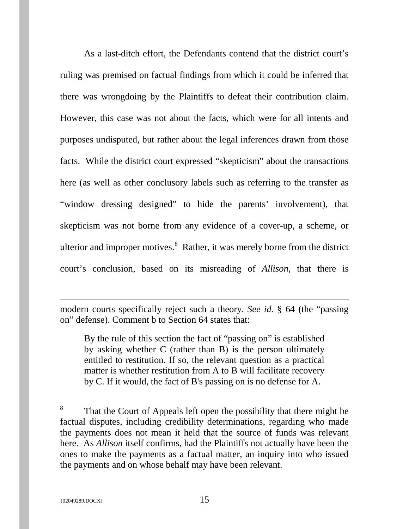As a last-ditch effort, the Defendants contend that the district court's ruling was premised on factual findings from which it could be inferred that there was wrongdoing by the Plaintiffs to defeat their contribution claim. However, this case was not about the facts, which were for all intents and purposes undisputed, but rather about the legal inferences drawn from those facts. While the district court expressed "skepticism" about the transactions here (as well as other conclusory labels such as referring to the transfer as "window dressing designed" to hide the parents' involvement), that skepticism was not borne from any evidence of a cover-up, a scheme, or ulterior and improper motives.<sup>[8](#page-16-0)</sup> Rather, it was merely borne from the district court's conclusion, based on its misreading of *Allison*, that there is

modern courts specifically reject such a theory. *See id.* § 64 (the "passing on" defense). Comment b to Section 64 states that:

By the rule of this section the fact of "passing on" is established by asking whether C (rather than B) is the person ultimately entitled to restitution. If so, the relevant question as a practical matter is whether restitution from A to B will facilitate recovery by C. If it would, the fact of B's passing on is no defense for A.

<sup>8</sup> That the Court of Appeals left open the possibility that there might be factual disputes, including credibility determinations, regarding who made the payments does not mean it held that the source of funds was relevant here. As *Allison* itself confirms, had the Plaintiffs not actually have been the ones to make the payments as a factual matter, an inquiry into who issued the payments and on whose behalf may have been relevant.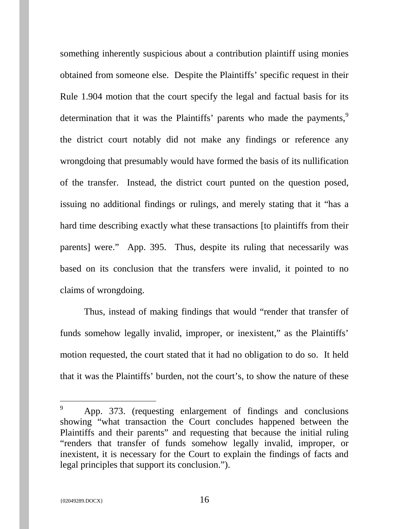something inherently suspicious about a contribution plaintiff using monies obtained from someone else. Despite the Plaintiffs' specific request in their Rule 1.904 motion that the court specify the legal and factual basis for its determination that it was the Plaintiffs' parents who made the payments,<sup>[9](#page-16-1)</sup> the district court notably did not make any findings or reference any wrongdoing that presumably would have formed the basis of its nullification of the transfer. Instead, the district court punted on the question posed, issuing no additional findings or rulings, and merely stating that it "has a hard time describing exactly what these transactions [to plaintiffs from their parents] were." App. 395. Thus, despite its ruling that necessarily was based on its conclusion that the transfers were invalid, it pointed to no claims of wrongdoing.

<span id="page-15-0"></span>Thus, instead of making findings that would "render that transfer of funds somehow legally invalid, improper, or inexistent," as the Plaintiffs' motion requested, the court stated that it had no obligation to do so. It held that it was the Plaintiffs' burden, not the court's, to show the nature of these

<sup>&</sup>lt;sup>9</sup> App. 373. (requesting enlargement of findings and conclusions showing "what transaction the Court concludes happened between the Plaintiffs and their parents" and requesting that because the initial ruling "renders that transfer of funds somehow legally invalid, improper, or inexistent, it is necessary for the Court to explain the findings of facts and legal principles that support its conclusion.").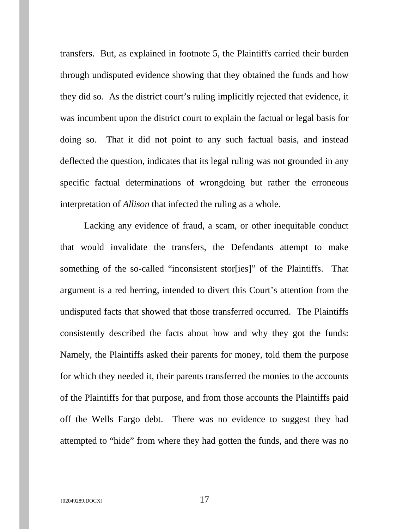transfers. But, as explained in footnote 5, the Plaintiffs carried their burden through undisputed evidence showing that they obtained the funds and how they did so. As the district court's ruling implicitly rejected that evidence, it was incumbent upon the district court to explain the factual or legal basis for doing so. That it did not point to any such factual basis, and instead deflected the question, indicates that its legal ruling was not grounded in any specific factual determinations of wrongdoing but rather the erroneous interpretation of *Allison* that infected the ruling as a whole.

<span id="page-16-1"></span><span id="page-16-0"></span>Lacking any evidence of fraud, a scam, or other inequitable conduct that would invalidate the transfers, the Defendants attempt to make something of the so-called "inconsistent stors ires" of the Plaintiffs. That argument is a red herring, intended to divert this Court's attention from the undisputed facts that showed that those transferred occurred. The Plaintiffs consistently described the facts about how and why they got the funds: Namely, the Plaintiffs asked their parents for money, told them the purpose for which they needed it, their parents transferred the monies to the accounts of the Plaintiffs for that purpose, and from those accounts the Plaintiffs paid off the Wells Fargo debt. There was no evidence to suggest they had attempted to "hide" from where they had gotten the funds, and there was no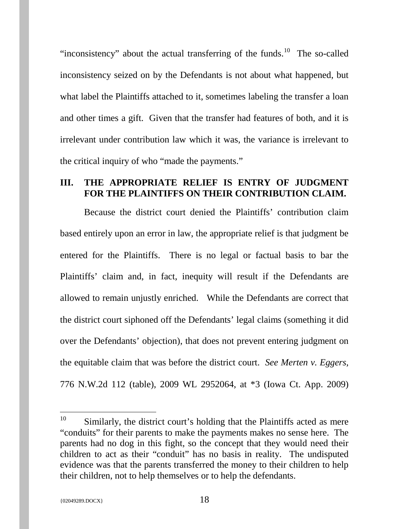"inconsistency" about the actual transferring of the funds.<sup>[10](#page-18-1)</sup> The so-called inconsistency seized on by the Defendants is not about what happened, but what label the Plaintiffs attached to it, sometimes labeling the transfer a loan and other times a gift. Given that the transfer had features of both, and it is irrelevant under contribution law which it was, the variance is irrelevant to the critical inquiry of who "made the payments."

#### <span id="page-17-0"></span>**III. THE APPROPRIATE RELIEF IS ENTRY OF JUDGMENT FOR THE PLAINTIFFS ON THEIR CONTRIBUTION CLAIM.**

Because the district court denied the Plaintiffs' contribution claim based entirely upon an error in law, the appropriate relief is that judgment be entered for the Plaintiffs. There is no legal or factual basis to bar the Plaintiffs' claim and, in fact, inequity will result if the Defendants are allowed to remain unjustly enriched. While the Defendants are correct that the district court siphoned off the Defendants' legal claims (something it did over the Defendants' objection), that does not prevent entering judgment on the equitable claim that was before the district court. *See Merten v. Eggers,* 776 N.W.2d 112 (table), 2009 WL 2952064, at \*3 (Iowa Ct. App. 2009)

 $10$  Similarly, the district court's holding that the Plaintiffs acted as mere "conduits" for their parents to make the payments makes no sense here. The parents had no dog in this fight, so the concept that they would need their children to act as their "conduit" has no basis in reality. The undisputed evidence was that the parents transferred the money to their children to help their children, not to help themselves or to help the defendants.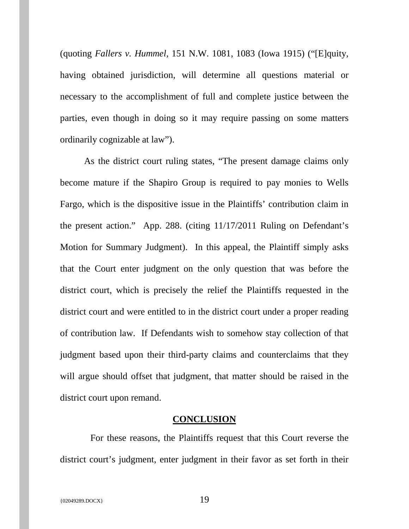(quoting *Fallers v. Hummel,* 151 N.W. 1081, 1083 (Iowa 1915) ("[E]quity, having obtained jurisdiction, will determine all questions material or necessary to the accomplishment of full and complete justice between the parties, even though in doing so it may require passing on some matters ordinarily cognizable at law").

As the district court ruling states, "The present damage claims only become mature if the Shapiro Group is required to pay monies to Wells Fargo, which is the dispositive issue in the Plaintiffs' contribution claim in the present action." App. 288. (citing 11/17/2011 Ruling on Defendant's Motion for Summary Judgment). In this appeal, the Plaintiff simply asks that the Court enter judgment on the only question that was before the district court, which is precisely the relief the Plaintiffs requested in the district court and were entitled to in the district court under a proper reading of contribution law. If Defendants wish to somehow stay collection of that judgment based upon their third-party claims and counterclaims that they will argue should offset that judgment, that matter should be raised in the district court upon remand.

#### **CONCLUSION**

<span id="page-18-1"></span><span id="page-18-0"></span> For these reasons, the Plaintiffs request that this Court reverse the district court's judgment, enter judgment in their favor as set forth in their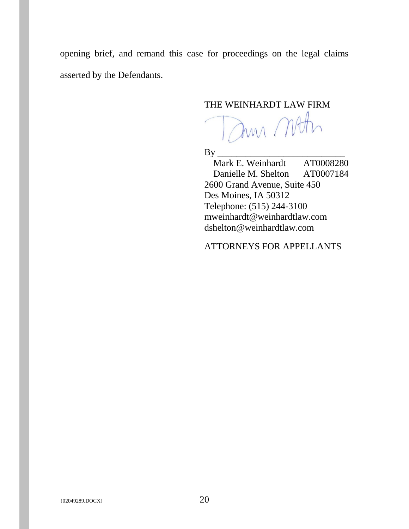opening brief, and remand this case for proceedings on the legal claims asserted by the Defendants.

### THE WEINHARDT LAW FIRM

Dun Moth

By \_\_\_\_\_\_\_\_\_\_\_\_\_\_\_\_\_\_\_\_\_\_\_\_\_\_\_

Mark E. Weinhardt AT0008280 Danielle M. Shelton AT0007184 2600 Grand Avenue, Suite 450 Des Moines, IA 50312 Telephone: (515) 244-3100 mweinhardt@weinhardtlaw.com dshelton@weinhardtlaw.com

ATTORNEYS FOR APPELLANTS